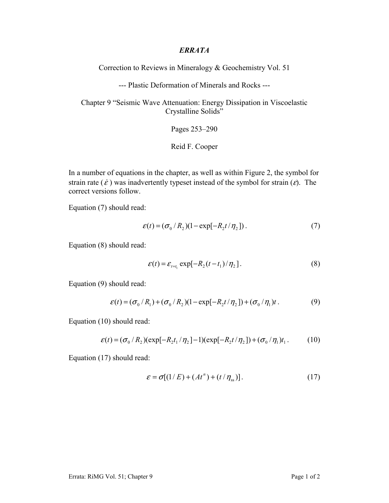## *ERRATA*

Correction to Reviews in Mineralogy & Geochemistry Vol. 51

--- Plastic Deformation of Minerals and Rocks ---

Chapter 9 "Seismic Wave Attenuation: Energy Dissipation in Viscoelastic Crystalline Solids"

Pages 253–290

Reid F. Cooper

In a number of equations in the chapter, as well as within Figure 2, the symbol for strain rate ( $\dot{\epsilon}$ ) was inadvertently typeset instead of the symbol for strain ( $\epsilon$ ). The correct versions follow.

Equation (7) should read:

$$
\varepsilon(t) = (\sigma_0 / R_2)(1 - \exp[-R_2 t / \eta_2]). \tag{7}
$$

Equation (8) should read:

$$
\varepsilon(t) = \varepsilon_{t=t_1} \exp[-R_2(t-t_1)/\eta_2]. \tag{8}
$$

Equation (9) should read:

$$
\varepsilon(t) = (\sigma_0 / R_1) + (\sigma_0 / R_2)(1 - \exp[-R_2 t / \eta_2]) + (\sigma_0 / \eta_1)t. \tag{9}
$$

Equation (10) should read:

$$
\varepsilon(t) = (\sigma_0 / R_2)(\exp[-R_2 t_1 / \eta_2] - 1)(\exp[-R_2 t / \eta_2]) + (\sigma_0 / \eta_1)t_1.
$$
 (10)

Equation (17) should read:

$$
\varepsilon = \sigma[(1/E) + (Atn) + (t/\etass)].
$$
 (17)